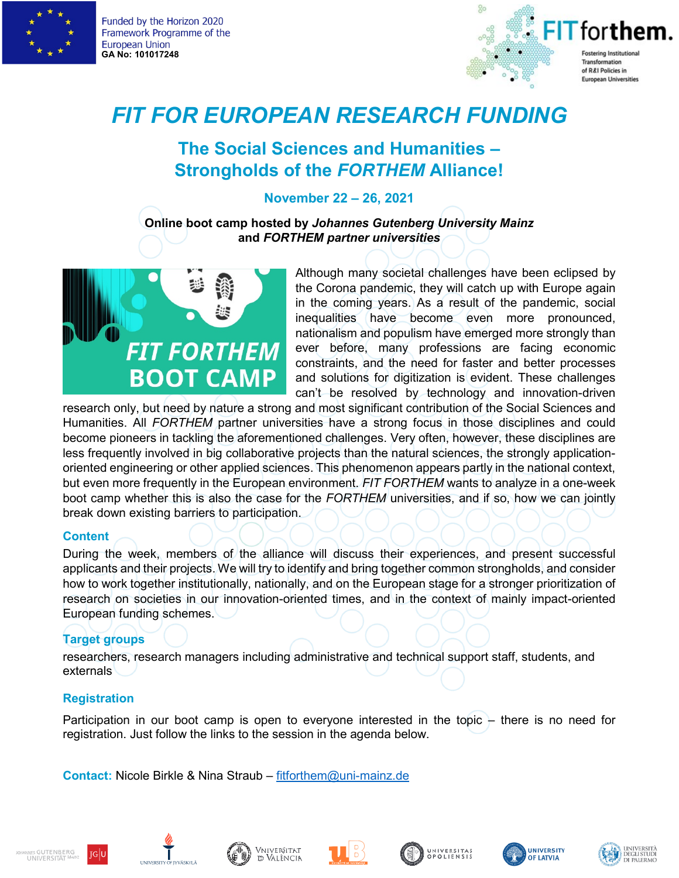

Funded by the Horizon 2020 Framework Programme of the **European Union GA No: 101017248**



# *FIT FOR EUROPEAN RESEARCH FUNDING*

## **The Social Sciences and Humanities – Strongholds of the** *FORTHEM* **Alliance!**

## **November 22 – 26, 2021**

**Online boot camp hosted by** *Johannes Gutenberg University Mainz*  **and** *FORTHEM partner universities* 



Although many societal challenges have been eclipsed by the Corona pandemic, they will catch up with Europe again in the coming years. As a result of the pandemic, social inequalities have become even more pronounced, nationalism and populism have emerged more strongly than ever before, many professions are facing economic constraints, and the need for faster and better processes and solutions for digitization is evident. These challenges can't be resolved by technology and innovation-driven

research only, but need by nature a strong and most significant contribution of the Social Sciences and Humanities. All *FORTHEM* partner universities have a strong focus in those disciplines and could become pioneers in tackling the aforementioned challenges. Very often, however, these disciplines are less frequently involved in big collaborative projects than the natural sciences, the strongly applicationoriented engineering or other applied sciences. This phenomenon appears partly in the national context, but even more frequently in the European environment. *FIT FORTHEM* wants to analyze in a one-week boot camp whether this is also the case for the *FORTHEM* universities, and if so, how we can jointly break down existing barriers to participation.

#### **Content**

During the week, members of the alliance will discuss their experiences, and present successful applicants and their projects. We will try to identify and bring together common strongholds, and consider how to work together institutionally, nationally, and on the European stage for a stronger prioritization of research on societies in our innovation-oriented times, and in the context of mainly impact-oriented European funding schemes.

## **Target groups**

researchers, research managers including administrative and technical support staff, students, and externals

## **Registration**

Participation in our boot camp is open to everyone interested in the topic – there is no need for registration. Just follow the links to the session in the agenda below.

**Contact:** Nicole Birkle & Nina Straub – [fitforthem@uni-mainz.de](mailto:fitforthem@uni-mainz.de)













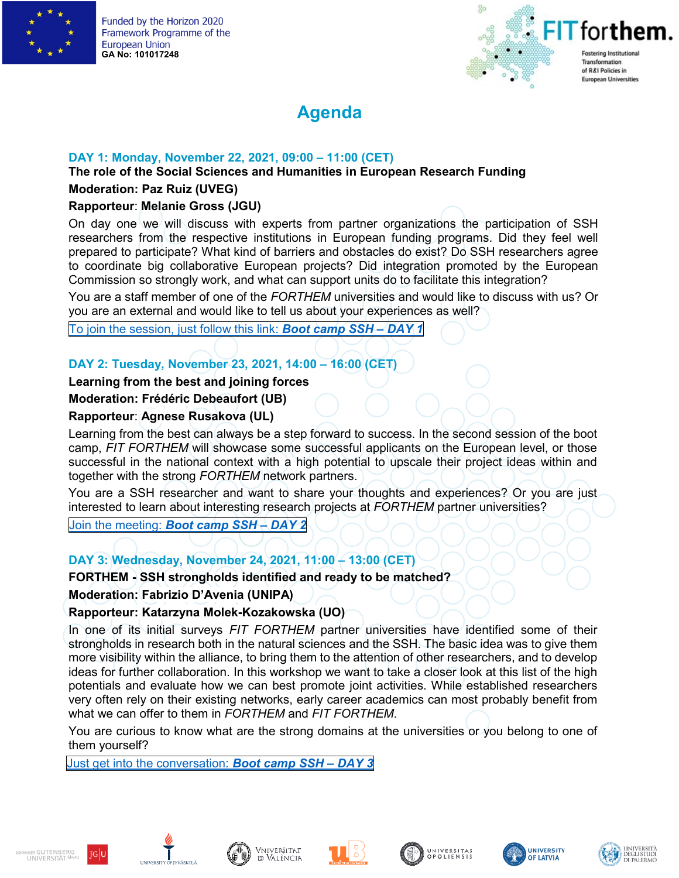

Funded by the Horizon 2020 Framework Programme of the **European Union GA No: 101017248**



## **Agenda**

## **DAY 1: Monday, November 22, 2021, 09:00 – 11:00 (CET)**

**The role of the Social Sciences and Humanities in European Research Funding**

## **Moderation: Paz Ruiz (UVEG)**

## **Rapporteur**: **Melanie Gross (JGU)**

On day one we will discuss with experts from partner organizations the participation of SSH researchers from the respective institutions in European funding programs. Did they feel well prepared to participate? What kind of barriers and obstacles do exist? Do SSH researchers agree to coordinate big collaborative European projects? Did integration promoted by the European Commission so strongly work, and what can support units do to facilitate this integration?

You are a staff member of one of the *FORTHEM* universities and would like to discuss with us? Or you are an external and would like to tell us about your experiences as well?

To join the [session,](https://teams.microsoft.com/l/meetup-join/19%3ameeting_YWM0YmFmNDQtOWQ5YS00MzI3LWEwNzItZDRlOGE1ZjBkZWM1%40thread.v2/0?context=%7b%22Tid%22%3a%222fa58faf-7eb1-48b9-9964-a92659d1c5b8%22%2c%22Oid%22%3a%225d4be030-0224-4a94-8734-2190c71bffdf%22%7d) just follow this link: *Boot camp SSH – DAY 1*

## **DAY 2: Tuesday, November 23, 2021, 14:00 – 16:00 (CET)**

## **Learning from the best and joining forces**

#### **Moderation: Frédéric Debeaufort (UB)**

## **Rapporteur**: **Agnese Rusakova (UL)**

Learning from the best can always be a step forward to success. In the second session of the boot camp, *FIT FORTHEM* will showcase some successful applicants on the European level, or those successful in the national context with a high potential to upscale their project ideas within and together with the strong *FORTHEM* network partners.

You are a SSH researcher and want to share your thoughts and experiences? Or you are just interested to learn about interesting research projects at *FORTHEM* partner universities?

Join the [meeting:](https://teams.microsoft.com/l/meetup-join/19%3ameeting_YzVmNzM2M2YtZjM1Ny00ZDMxLTg3ZDUtMzUyYzY3ODFlM2Vh%40thread.v2/0?context=%7b%22Tid%22%3a%222fa58faf-7eb1-48b9-9964-a92659d1c5b8%22%2c%22Oid%22%3a%225d4be030-0224-4a94-8734-2190c71bffdf%22%7d) *Boot camp SSH – DAY 2*

## **DAY 3: Wednesday, November 24, 2021, 11:00 – 13:00 (CET)**

#### **FORTHEM - SSH strongholds identified and ready to be matched?**

**Moderation: Fabrizio D'Avenia (UNIPA)**

## **Rapporteur: Katarzyna Molek-Kozakowska (UO)**

In one of its initial surveys *FIT FORTHEM* partner universities have identified some of their strongholds in research both in the natural sciences and the SSH. The basic idea was to give them more visibility within the alliance, to bring them to the attention of other researchers, and to develop ideas for further collaboration. In this workshop we want to take a closer look at this list of the high potentials and evaluate how we can best promote joint activities. While established researchers very often rely on their existing networks, early career academics can most probably benefit from what we can offer to them in *FORTHEM* and *FIT FORTHEM*.

You are curious to know what are the strong domains at the universities or you belong to one of them yourself?

Just get into the [conversation:](https://teams.microsoft.com/l/meetup-join/19%3ameeting_Njc5NWEyNjQtMWZlYS00MWQ3LTkwYTYtMWJmYzBkYzBjMDQ3%40thread.v2/0?context=%7b%22Tid%22%3a%222fa58faf-7eb1-48b9-9964-a92659d1c5b8%22%2c%22Oid%22%3a%225d4be030-0224-4a94-8734-2190c71bffdf%22%7d) *Boot camp SSH – DAY 3*